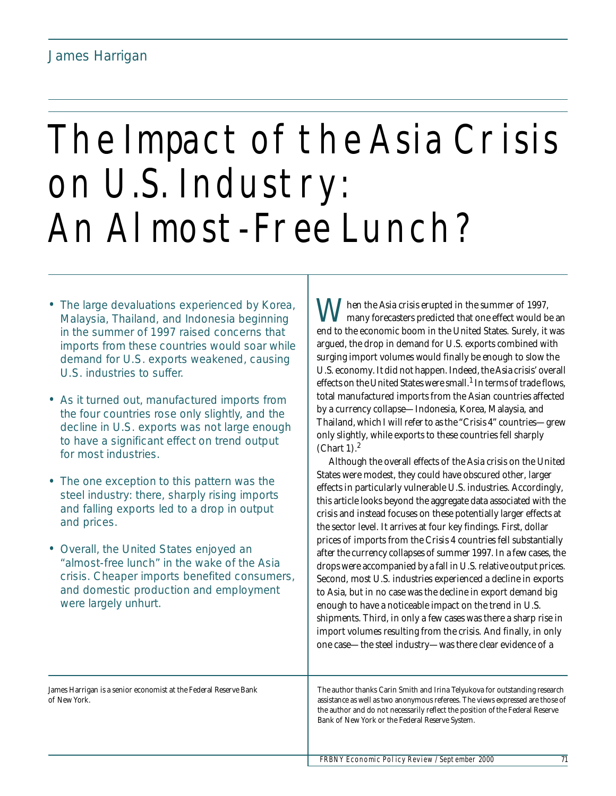# The Impact of the Asia Crisis on U.S. Industry: An Almost-Free Lunch?

- The large devaluations experienced by Korea, Malaysia, Thailand, and Indonesia beginning in the summer of 1997 raised concerns that imports from these countries would soar while demand for U.S. exports weakened, causing U.S. industries to suffer.
- As it turned out, manufactured imports from the four countries rose only slightly, and the decline in U.S. exports was not large enough to have a significant effect on trend output for most industries.
- The one exception to this pattern was the steel industry: there, sharply rising imports and falling exports led to a drop in output and prices.
- Overall, the United States enjoyed an "almost-free lunch" in the wake of the Asia crisis. Cheaper imports benefited consumers, and domestic production and employment were largely unhurt.

hen the Asia crisis erupted in the summer of 1997, many forecasters predicted that one effect would be an When the Asia crisis erupted in the summer of 1997,<br>end to the economic boom in the United States. Surely, it was argued, the drop in demand for U.S. exports combined with surging import volumes would finally be enough to slow the U.S. economy. It did not happen. Indeed, the Asia crisis' overall effects on the United States were small.<sup>1</sup> In terms of trade flows, total manufactured imports from the Asian countries affected by a currency collapse—Indonesia, Korea, Malaysia, and Thailand, which I will refer to as the "Crisis 4" countries—grew only slightly, while exports to these countries fell sharply (Chart 1). $<sup>2</sup>$ </sup>

Although the overall effects of the Asia crisis on the United States were modest, they could have obscured other, larger effects in particularly vulnerable U.S. industries. Accordingly, this article looks beyond the aggregate data associated with the crisis and instead focuses on these potentially larger effects at the sector level. It arrives at four key findings. First, dollar prices of imports from the Crisis 4 countries fell substantially after the currency collapses of summer 1997. In a few cases, the drops were accompanied by a fall in U.S. relative output prices. Second, most U.S. industries experienced a decline in exports to Asia, but in no case was the decline in export demand big enough to have a noticeable impact on the trend in U.S. shipments. Third, in only a few cases was there a sharp rise in import volumes resulting from the crisis. And finally, in only one case—the steel industry—was there clear evidence of a

James Harrigan is a senior economist at the Federal Reserve Bank of New York.

The author thanks Carin Smith and Irina Telyukova for outstanding research assistance as well as two anonymous referees. The views expressed are those of the author and do not necessarily reflect the position of the Federal Reserve Bank of New York or the Federal Reserve System.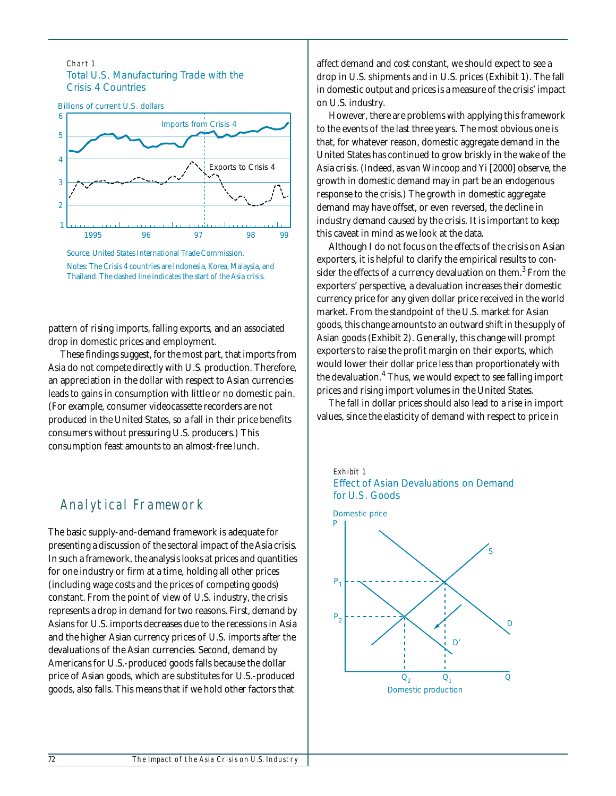#### Chart 1 Total U.S. Manufacturing Trade with the Crisis 4 Countries





pattern of rising imports, falling exports, and an associated drop in domestic prices and employment.

These findings suggest, for the most part, that imports from Asia do not compete directly with U.S. production. Therefore, an appreciation in the dollar with respect to Asian currencies leads to gains in consumption with little or no domestic pain. (For example, consumer videocassette recorders are not produced in the United States, so a fall in their price benefits consumers without pressuring U.S. producers.) This consumption feast amounts to an almost-free lunch.

# Analytical Framework

The basic supply-and-demand framework is adequate for presenting a discussion of the sectoral impact of the Asia crisis. In such a framework, the analysis looks at prices and quantities for one industry or firm at a time, holding all other prices (including wage costs and the prices of competing goods) constant. From the point of view of U.S. industry, the crisis represents a drop in demand for two reasons. First, demand by Asians for U.S. imports decreases due to the recessions in Asia and the higher Asian currency prices of U.S. imports after the devaluations of the Asian currencies. Second, demand by Americans for U.S.-produced goods falls because the dollar price of Asian goods, which are substitutes for U.S.-produced goods, also falls. This means that if we hold other factors that

affect demand and cost constant, we should expect to see a drop in U.S. shipments and in U.S. prices (Exhibit 1). The fall in domestic output and prices is a measure of the crisis' impact on U.S. industry.

However, there are problems with applying this framework to the events of the last three years. The most obvious one is that, for whatever reason, domestic aggregate demand in the United States has continued to grow briskly in the wake of the Asia crisis. (Indeed, as van Wincoop and Yi [2000] observe, the growth in domestic demand may in part be an endogenous response to the crisis.) The growth in domestic aggregate demand may have offset, or even reversed, the decline in industry demand caused by the crisis. It is important to keep this caveat in mind as we look at the data.

Although I do not focus on the effects of the crisis on Asian exporters, it is helpful to clarify the empirical results to consider the effects of a currency devaluation on them. $^3$  From the exporters' perspective, a devaluation increases their domestic currency price for any given dollar price received in the world market. From the standpoint of the U.S. market for Asian goods, this change amounts to an outward shift in the supply of Asian goods (Exhibit 2). Generally, this change will prompt exporters to raise the profit margin on their exports, which would lower their dollar price less than proportionately with the devaluation.<sup>4</sup> Thus, we would expect to see falling import prices and rising import volumes in the United States.

The fall in dollar prices should also lead to a rise in import values, since the elasticity of demand with respect to price in

#### Exhibit 1 Effect of Asian Devaluations on Demand for U.S. Goods

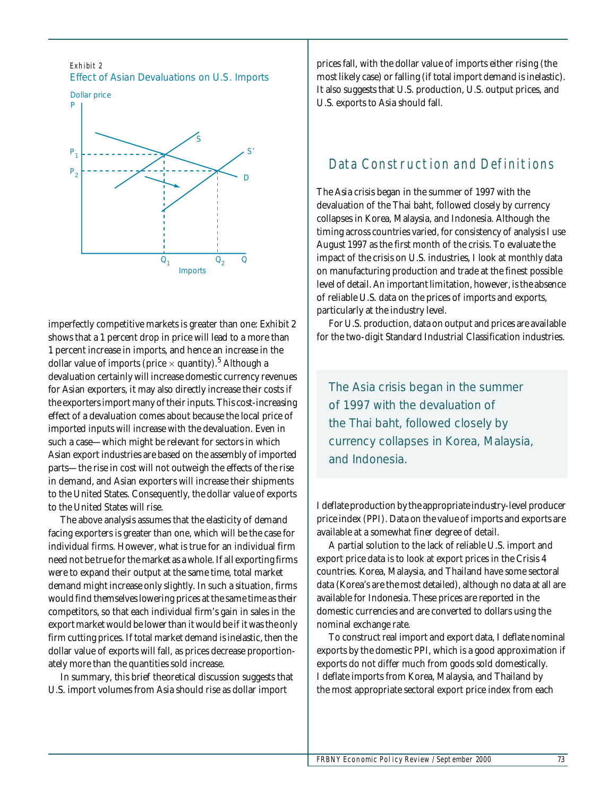Exhibit 2 Effect of Asian Devaluations on U.S. Imports



imperfectly competitive markets is greater than one: Exhibit 2 shows that a 1 percent drop in price will lead to a more than 1 percent increase in imports, and hence an increase in the dollar value of imports (price  $\times$  quantity). $^5$  Although a devaluation certainly will increase domestic currency revenues for Asian exporters, it may also directly increase their costs if the exporters import many of their inputs. This cost-increasing effect of a devaluation comes about because the local price of imported inputs will increase with the devaluation. Even in such a case—which might be relevant for sectors in which Asian export industries are based on the assembly of imported parts—the rise in cost will not outweigh the effects of the rise in demand, and Asian exporters will increase their shipments to the United States. Consequently, the dollar value of exports to the United States will rise.

The above analysis assumes that the elasticity of demand facing exporters is greater than one, which will be the case for individual firms. However, what is true for an individual firm need not be true for the market as a whole. If all exporting firms were to expand their output at the same time, total market demand might increase only slightly. In such a situation, firms would find themselves lowering prices at the same time as their competitors, so that each individual firm's gain in sales in the export market would be lower than it would be if it was the only firm cutting prices. If total market demand is inelastic, then the dollar value of exports will fall, as prices decrease proportionately more than the quantities sold increase.

In summary, this brief theoretical discussion suggests that U.S. import volumes from Asia should rise as dollar import

prices fall, with the dollar value of imports either rising (the most likely case) or falling (if total import demand is inelastic). It also suggests that U.S. production, U.S. output prices, and U.S. exports to Asia should fall.

# Data Construction and Definitions

The Asia crisis began in the summer of 1997 with the devaluation of the Thai baht, followed closely by currency collapses in Korea, Malaysia, and Indonesia. Although the timing across countries varied, for consistency of analysis I use August 1997 as the first month of the crisis. To evaluate the impact of the crisis on U.S. industries, I look at monthly data on manufacturing production and trade at the finest possible level of detail. An important limitation, however, is the absence of reliable U.S. data on the prices of imports and exports, particularly at the industry level.

For U.S. production, data on output and prices are available for the two-digit Standard Industrial Classification industries.

*The Asia crisis began in the summer of 1997 with the devaluation of the Thai baht, followed closely by currency collapses in Korea, Malaysia, and Indonesia.* 

I deflate production by the appropriate industry-level producer price index (PPI). Data on the value of imports and exports are available at a somewhat finer degree of detail.

A partial solution to the lack of reliable U.S. import and export price data is to look at export prices in the Crisis 4 countries. Korea, Malaysia, and Thailand have some sectoral data (Korea's are the most detailed), although no data at all are available for Indonesia. These prices are reported in the domestic currencies and are converted to dollars using the nominal exchange rate.

To construct real import and export data, I deflate nominal exports by the domestic PPI, which is a good approximation if exports do not differ much from goods sold domestically. I deflate imports from Korea, Malaysia, and Thailand by the most appropriate sectoral export price index from each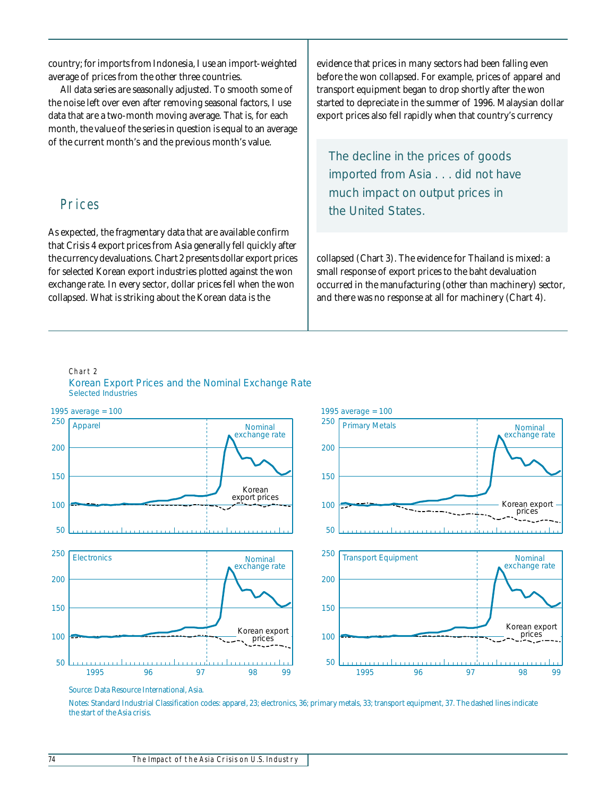country; for imports from Indonesia, I use an import-weighted average of prices from the other three countries.

All data series are seasonally adjusted. To smooth some of the noise left over even after removing seasonal factors, I use data that are a two-month moving average. That is, for each month, the value of the series in question is equal to an average of the current month's and the previous month's value.

### Prices

As expected, the fragmentary data that are available confirm that Crisis 4 export prices from Asia generally fell quickly after the currency devaluations. Chart 2 presents dollar export prices for selected Korean export industries plotted against the won exchange rate. In every sector, dollar prices fell when the won collapsed. What is striking about the Korean data is the

evidence that prices in many sectors had been falling even before the won collapsed. For example, prices of apparel and transport equipment began to drop shortly after the won started to depreciate in the summer of 1996. Malaysian dollar export prices also fell rapidly when that country's currency

*The decline in the prices of goods imported from Asia . . . did not have much impact on output prices in the United States.* 

collapsed (Chart 3). The evidence for Thailand is mixed: a small response of export prices to the baht devaluation occurred in the manufacturing (other than machinery) sector, and there was no response at all for machinery (Chart 4).

#### Chart 2 Korean Export Prices and the Nominal Exchange Rate Selected Industries



Source: Data Resource International, Asia.

Notes: Standard Industrial Classification codes: apparel, 23; electronics, 36; primary metals, 33; transport equipment, 37. The dashed lines indicate the start of the Asia crisis.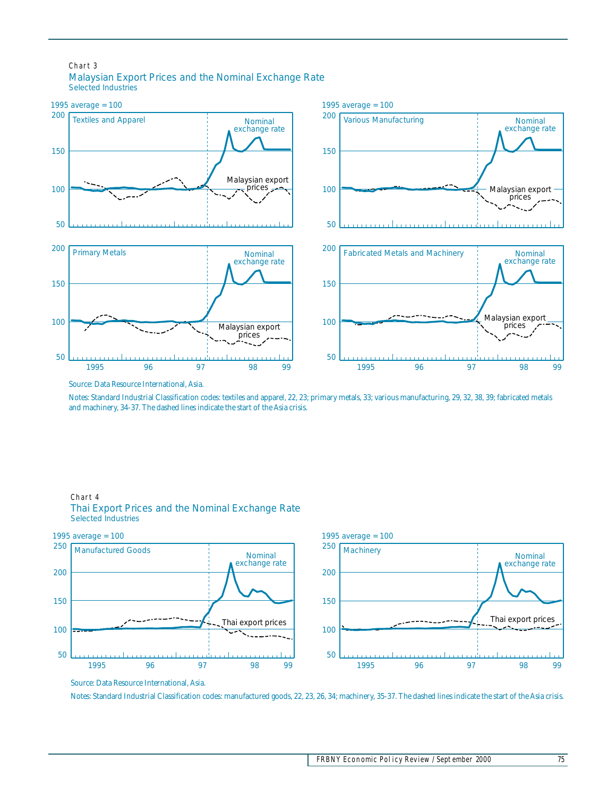#### Chart 3 Malaysian Export Prices and the Nominal Exchange Rate Selected Industries



Source: Data Resource International, Asia.

Notes: Standard Industrial Classification codes: textiles and apparel, 22, 23; primary metals, 33; various manufacturing, 29, 32, 38, 39; fabricated metals and machinery, 34-37. The dashed lines indicate the start of the Asia crisis.

#### Chart 4 Thai Export Prices and the Nominal Exchange Rate Selected Industries



Source: Data Resource International, Asia.

Notes: Standard Industrial Classification codes: manufactured goods, 22, 23, 26, 34; machinery, 35-37. The dashed lines indicate the start of the Asia crisis.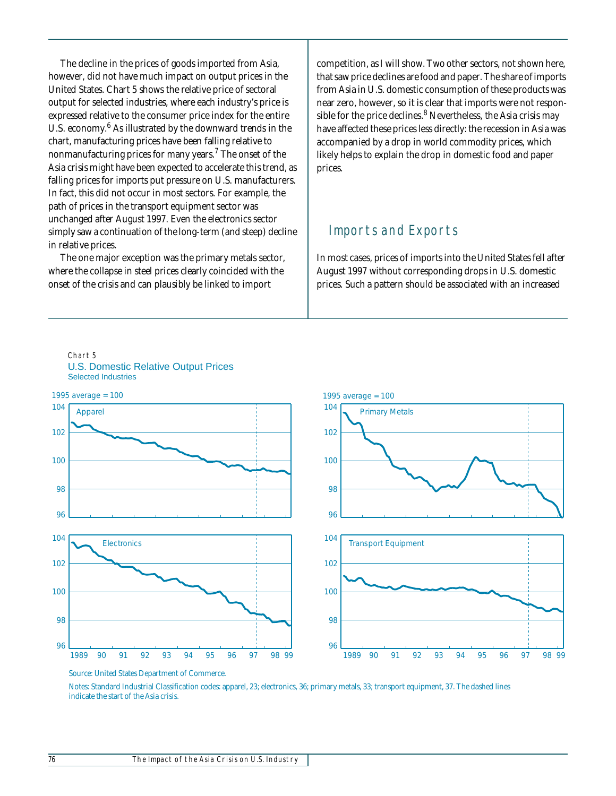The decline in the prices of goods imported from Asia, however, did not have much impact on output prices in the United States. Chart 5 shows the relative price of sectoral output for selected industries, where each industry's price is expressed relative to the consumer price index for the entire U.S. economy.<sup>6</sup> As illustrated by the downward trends in the chart, manufacturing prices have been falling relative to nonmanufacturing prices for many years. $^7$  The onset of the Asia crisis might have been expected to accelerate this trend, as falling prices for imports put pressure on U.S. manufacturers. In fact, this did not occur in most sectors. For example, the path of prices in the transport equipment sector was unchanged after August 1997. Even the electronics sector simply saw a continuation of the long-term (and steep) decline in relative prices.

The one major exception was the primary metals sector, where the collapse in steel prices clearly coincided with the onset of the crisis and can plausibly be linked to import

competition, as I will show. Two other sectors, not shown here, that saw price declines are food and paper. The share of imports from Asia in U.S. domestic consumption of these products was near zero, however, so it is clear that imports were not responsible for the price declines.<sup>8</sup> Nevertheless, the Asia crisis may have affected these prices less directly: the recession in Asia was accompanied by a drop in world commodity prices, which likely helps to explain the drop in domestic food and paper prices.

## Imports and Exports

In most cases, prices of imports into the United States fell after August 1997 without corresponding drops in U.S. domestic prices. Such a pattern should be associated with an increased



Chart 5 U.S. Domestic Relative Output Prices Selected Industries

Source: United States Department of Commerce.

Notes: Standard Industrial Classification codes: apparel, 23; electronics, 36; primary metals, 33; transport equipment, 37. The dashed lines indicate the start of the Asia crisis.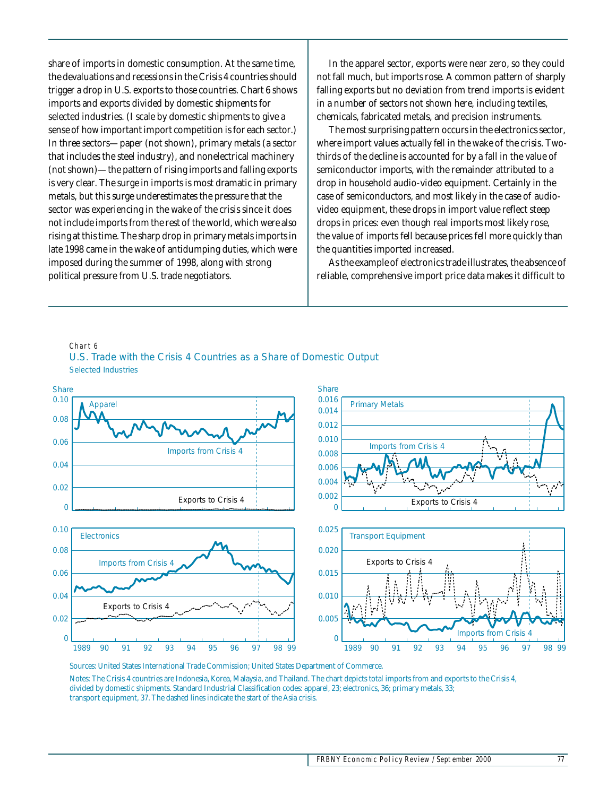share of imports in domestic consumption. At the same time, the devaluations and recessions in the Crisis 4 countries should trigger a drop in U.S. exports to those countries. Chart 6 shows imports and exports divided by domestic shipments for selected industries. (I scale by domestic shipments to give a sense of how important import competition is for each sector.) In three sectors—paper (not shown), primary metals (a sector that includes the steel industry), and nonelectrical machinery (not shown)—the pattern of rising imports and falling exports is very clear. The surge in imports is most dramatic in primary metals, but this surge underestimates the pressure that the sector was experiencing in the wake of the crisis since it does not include imports from the rest of the world, which were also rising at this time. The sharp drop in primary metals imports in late 1998 came in the wake of antidumping duties, which were imposed during the summer of 1998, along with strong political pressure from U.S. trade negotiators.

In the apparel sector, exports were near zero, so they could not fall much, but imports rose. A common pattern of sharply falling exports but no deviation from trend imports is evident in a number of sectors not shown here, including textiles, chemicals, fabricated metals, and precision instruments.

The most surprising pattern occurs in the electronics sector, where import values actually *fell* in the wake of the crisis. Twothirds of the decline is accounted for by a fall in the value of semiconductor imports, with the remainder attributed to a drop in household audio-video equipment. Certainly in the case of semiconductors, and most likely in the case of audiovideo equipment, these drops in import value reflect steep drops in prices: even though real imports most likely rose, the value of imports fell because prices fell more quickly than the quantities imported increased.

As the example of electronics trade illustrates, the absence of reliable, comprehensive import price data makes it difficult to

#### Chart 6 U.S. Trade with the Crisis 4 Countries as a Share of Domestic Output Selected Industries



Sources: United States International Trade Commission; United States Department of Commerce.

Notes: The Crisis 4 countries are Indonesia, Korea, Malaysia, and Thailand. The chart depicts total imports from and exports to the Crisis 4, divided by domestic shipments. Standard Industrial Classification codes: apparel, 23; electronics, 36; primary metals, 33; transport equipment, 37. The dashed lines indicate the start of the Asia crisis.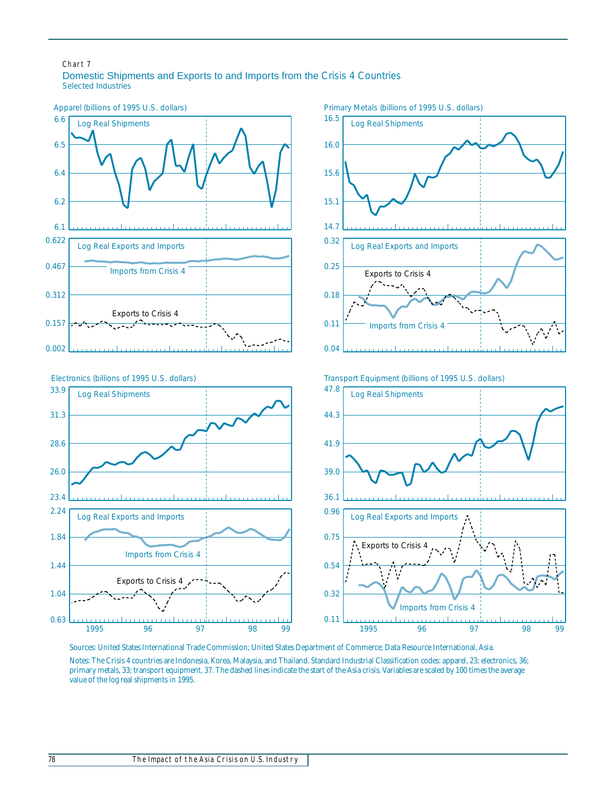#### Chart 7 Domestic Shipments and Exports to and Imports from the Crisis 4 Countries Selected Industries



Sources: United States International Trade Commission; United States Department of Commerce; Data Resource International, Asia. Notes: The Crisis 4 countries are Indonesia, Korea, Malaysia, and Thailand. Standard Industrial Classification codes: apparel, 23; electronics, 36; primary metals, 33; transport equipment, 37. The dashed lines indicate the start of the Asia crisis. Variables are scaled by 100 times the average value of the log real shipments in 1995.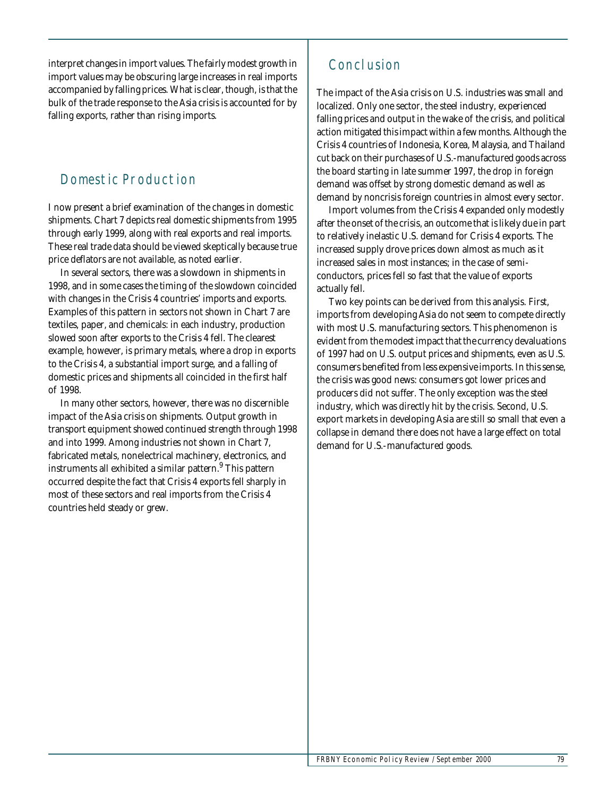interpret changes in import values. The fairly modest growth in import values may be obscuring large increases in real imports accompanied by falling prices. What is clear, though, is that the bulk of the trade response to the Asia crisis is accounted for by falling exports, rather than rising imports.

## Domestic Production

I now present a brief examination of the changes in domestic shipments. Chart 7 depicts real domestic shipments from 1995 through early 1999, along with real exports and real imports. These real trade data should be viewed skeptically because true price deflators are not available, as noted earlier.

In several sectors, there was a slowdown in shipments in 1998, and in some cases the timing of the slowdown coincided with changes in the Crisis 4 countries' imports and exports. Examples of this pattern in sectors not shown in Chart 7 are textiles, paper, and chemicals: in each industry, production slowed soon after exports to the Crisis 4 fell. The clearest example, however, is primary metals, where a drop in exports to the Crisis 4, a substantial import surge, and a falling of domestic prices and shipments all coincided in the first half of 1998.

In many other sectors, however, there was no discernible impact of the Asia crisis on shipments. Output growth in transport equipment showed continued strength through 1998 and into 1999. Among industries not shown in Chart 7, fabricated metals, nonelectrical machinery, electronics, and instruments all exhibited a similar pattern.<sup>9</sup> This pattern occurred despite the fact that Crisis 4 exports fell sharply in most of these sectors and real imports from the Crisis 4 countries held steady or grew.

# Conclusion

The impact of the Asia crisis on U.S. industries was small and localized. Only one sector, the steel industry, experienced falling prices and output in the wake of the crisis, and political action mitigated this impact within a few months. Although the Crisis 4 countries of Indonesia, Korea, Malaysia, and Thailand cut back on their purchases of U.S.-manufactured goods across the board starting in late summer 1997, the drop in foreign demand was offset by strong domestic demand as well as demand by noncrisis foreign countries in almost every sector.

Import volumes from the Crisis 4 expanded only modestly after the onset of the crisis, an outcome that is likely due in part to relatively inelastic U.S. demand for Crisis 4 exports. The increased supply drove prices down almost as much as it increased sales in most instances; in the case of semiconductors, prices fell so fast that the value of exports actually fell.

Two key points can be derived from this analysis. First, imports from developing Asia do not seem to compete directly with most U.S. manufacturing sectors. This phenomenon is evident from the modest impact that the currency devaluations of 1997 had on U.S. output prices and shipments, even as U.S. consumers benefited from less expensive imports. In this sense, the crisis was good news: consumers got lower prices and producers did not suffer. The only exception was the steel industry, which was directly hit by the crisis. Second, U.S. export markets in developing Asia are still so small that even a collapse in demand there does not have a large effect on total demand for U.S.-manufactured goods.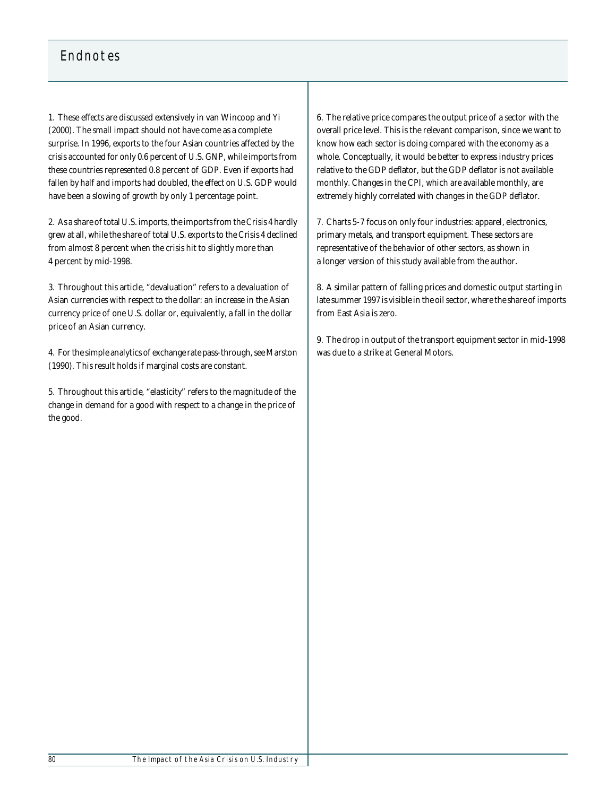# Endnotes

1. These effects are discussed extensively in van Wincoop and Yi (2000). The small impact should not have come as a complete surprise. In 1996, exports to the four Asian countries affected by the crisis accounted for only 0.6 percent of U.S. GNP, while imports from these countries represented 0.8 percent of GDP. Even if exports had fallen by half and imports had doubled, the effect on U.S. GDP would have been a slowing of growth by only 1 percentage point.

2. As a share of total U.S. imports, the imports from the Crisis 4 hardly grew at all, while the share of total U.S. exports to the Crisis 4 declined from almost 8 percent when the crisis hit to slightly more than 4 percent by mid-1998.

3. Throughout this article, "devaluation" refers to a devaluation of Asian currencies with respect to the dollar: an increase in the Asian currency price of one U.S. dollar or, equivalently, a fall in the dollar price of an Asian currency.

4. For the simple analytics of exchange rate pass-through, see Marston (1990). This result holds if marginal costs are constant.

5. Throughout this article, "elasticity" refers to the magnitude of the change in demand for a good with respect to a change in the price of the good.

6. The relative price compares the output price of a sector with the overall price level. This is the relevant comparison, since we want to know how each sector is doing compared with the economy as a whole. Conceptually, it would be better to express industry prices relative to the GDP deflator, but the GDP deflator is not available monthly. Changes in the CPI, which *are* available monthly, are extremely highly correlated with changes in the GDP deflator.

7. Charts 5-7 focus on only four industries: apparel, electronics, primary metals, and transport equipment. These sectors are representative of the behavior of other sectors, as shown in a longer version of this study available from the author.

8. A similar pattern of falling prices and domestic output starting in late summer 1997 is visible in the oil sector, where the share of imports from East Asia is zero.

9. The drop in output of the transport equipment sector in mid-1998 was due to a strike at General Motors.